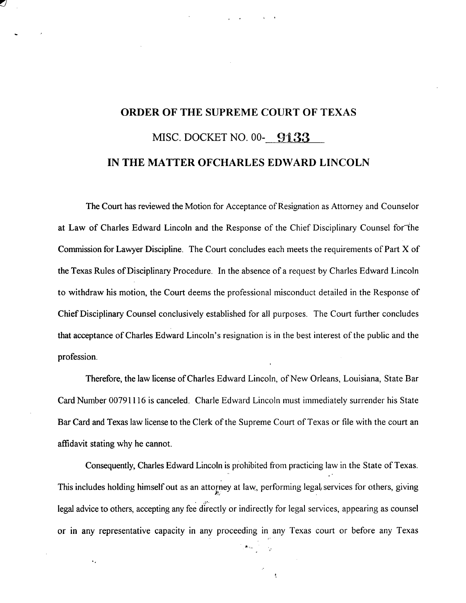## **ORDER OF THE SUPREME** COURT OF TEXAS MISC. DOCKET NO. 00- 9133 **IN THE MATTER** OFCHARLES **EDWARD** LINCOLN

The Court has reviewed the Motion for Acceptance of Resignation as Attorney and Counselor at Law of Charles Edward Lincoln and the Response of the Chief Disciplinary Counsel for the Commission for Lawyer Discipline. The Court concludes each meets the requirements of Part X of the Texas Rules of Disciplinary Procedure. In the absence of a request by Charles Edward Lincoln to withdraw his motion, the Court deems the professional misconduct detailed in the Response of Chief Disciplinary Counsel conclusively established for all purposes. The Court further concludes that acceptance of Charles Edward Lincoln's resignation is in the best interest of the public and the profession.

Therefore, the law license of Charles Edward Lincoln, of New Orleans, Louisiana, State Bar Card Number 00791116 is canceled. Charle Edward Lincoln must immediately surrender his State Bar Card and Texas law license to the Clerk of the Supreme Court of Texas or file with the court an affidavit stating why he cannot.

Consequently, Charles Edward Lincoln is prohibited from practicing law in the State of Texas. This includes holding himself out as an attorney at law, performing legal, services for others, giving legal advice to others, accepting any fee directly or indirectly for legal services, appearing as counsel or in any representative capacity in any proceeding in any Texas court or before any Texas

 $\ddot{\phantom{a}}$ 

 $\mathbf{z}_{\text{max}}$  .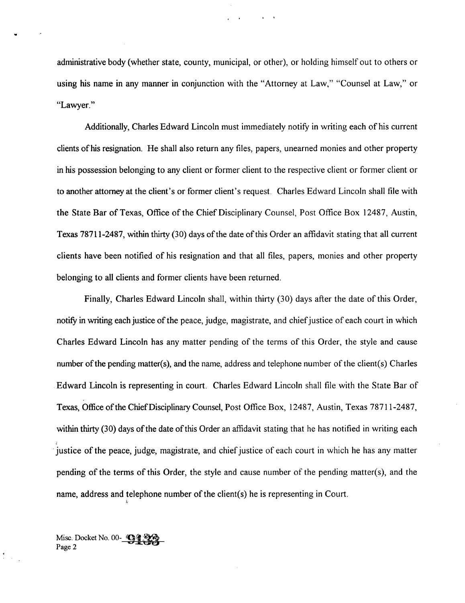administrative body (whether state, county, municipal, or other), or holding himself out to others or using his name in any manner in conjunction with the "Attorney at Law," "Counsel at Law," or "Lawyer."

Additionally, Charles Edward Lincoln must immediately notify in writing each of his current clients of his resignation. He shall also return any files, papers, unearned monies and other property in his possession belonging to any client or former client to the respective client or former client or to another attorney at the client's or former client's request. Charles Edward Lincoln shall file with the State Bar of Texas, Office of the Chief Disciplinary Counsel, Post Office Box 12487, Austin, Texas 78711-2487, within thirty (30) days of the date of this Order an affidavit stating that all current clients have been notified of his resignation and that all files, papers, monies and other property belonging to all clients and former clients have been returned.

Finally, Charles Edward Lincoln shall, within thirty (30) days after the date of this Order, notify in writing each justice of the peace, judge, magistrate, and chief justice of each court in which Charles Edward Lincoln has any matter pending of the terms of this Order, the style and cause number of the pending matter(s), and the name, address and telephone number of the client(s) Charles . Edward Lincoln is representing in court. Charles Edward Lincoln shall file with the State Bar of Texas, Office of the Chief Disciplinary Counsel, Post Office Box, 12487, Austin, Texas 78711-2487, within thirty (30) days of the date of this Order an affidavit stating that he has notified in writing each justice of the peace, judge, magistrate, and chief justice of each court in which he has any matter pending of the terms of this Order, the style and cause number of the pending matter(s), and the name, address and telephone number of the client(s) he is representing in Court.

Misc. Docket No. 00-**9128 Page 2**

 $\sum_{i=1}^k \frac{1}{n_i}$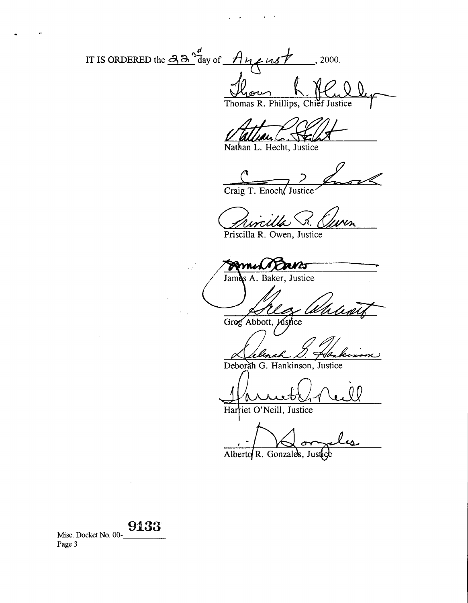IT IS ORDERED the  $\frac{\partial \partial^d}{\partial a}$  of  $A_{\mathcal{U}}$  *ust*, 2000.  $\mathcal{Q}$ 

Chief Justice Thomas R. Phillips,

Nathan L. Hecht, Justice

Craig T. Enoch, Justice

Priscilla R. Owen, Justice

1 Faves A. Baker, Justice Jami

Greg Abbott, Justice

Deborah G. Hankinson, Justice

QQ <sup>/</sup>0

Har **iet O'Neill, Justice**

**0 O C-Y-`**

Alberto R. Gonzales, Justice

9133 Misc. Docket No. 00- Page 3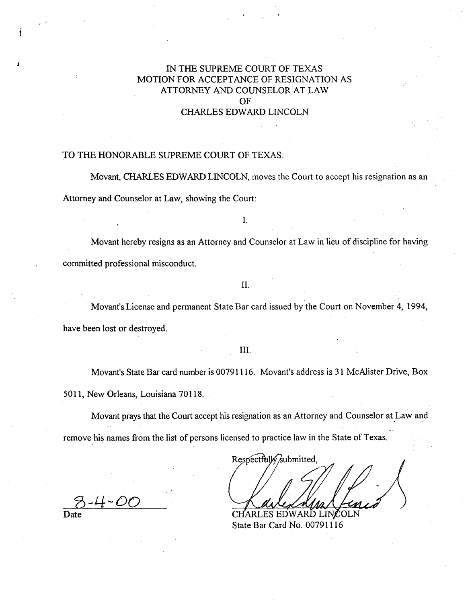## IN THE SUPREME COURT OF TEXAS MOTION FOR ACCEPTANCE OF RESIGNATION AS ATTORNEY AND COUNSELOR AT LAW **OF CHARLES EDWARD** LINCOLN

#### TO THE HONORABLE SUPREME COURT OF TEXAS:

Movant, CHARLES EDWARD LINCOLN, moves the Court to accept his resignation as an Attorney and Counselor at Law, showing the Court:

I.

Movant hereby resigns as an Attorney and Counselor at Law in lieu of discipline for having committed professional misconduct.

#### II.

Movant's License and permanent State Bar card issued by the Court on November 4, 1994, have been lost or destroyed.

#### III.

Movant's State Bar card number is 00791116. Movant's address is 31 McAlister Drive, Box 5011, New Orleans, Louisiana 70118.

Movant prays that the Court accept his resignation as an Attorney and Counselor at Law and remove his names from the list of persons licensed to practice law in the State of Texas.

Respectfully submitted, CHARLES EDWARD LINCOLN

State Bar Card No. 00791116

 $8 - 4 - 00$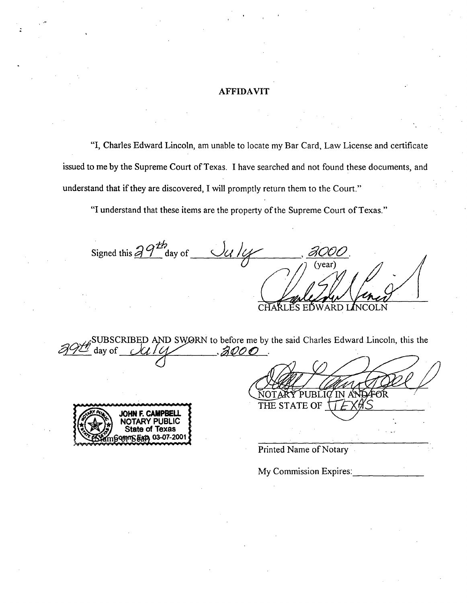#### AFFIDAVIT

"I, Charles Edward Lincoln, am unable to locate my Bar Card, Law License and certificate issued to me by the Supreme Court of Texas. I have searched and not found these documents, and understand that if they are discovered, I will promptly return them to the Court."

"I understand that these items are the property of the Supreme Court of Texas."

 $\alpha$ th Signed this  $d \mathcal{I}$  day of **RD** *I*NCOLN

**ISED AND SWORN to before me by the said Charles Edward Lincoln, this the** day of  $\mathcal{AOOO}$  .



**Printed Name** of Notary

NOTARÝ

THE STATE OF

My Commission Expires:

PUBLIC IN A

ς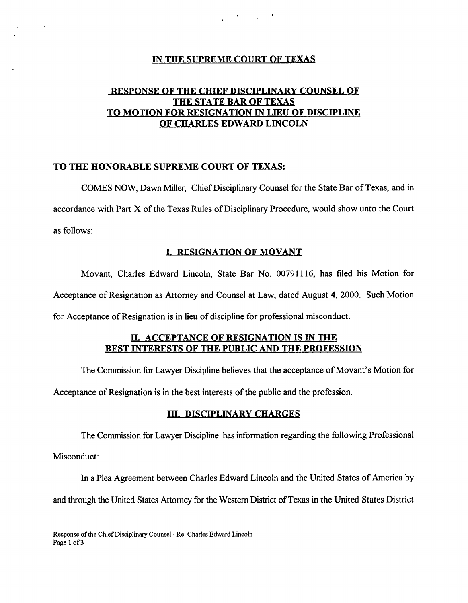#### IN THE SUPREME COURT OF TEXAS

and the company of

## RESPONSE OF THE CHIEF DISCIPLINARY COUNSEL OF THE STATE BAR OF TEXAS TO MOTION FOR RESIGNATION IN LIEU OF DISCIPLINE OF CHARLES EDWARD LINCOLN

### **TO THE HONORABLE SUPREME COURT OF TEXAS:**

COMES NOW, **Dawn Miller,** Chief **Disciplinary Counsel for the State Bar of Texas, and in accordance** with Part X of the **Texas Rules of Disciplinary Procedure, would show unto** the Court **as follows:**

#### 1. RESIGNATION OF MOVANT

Movant, Charles Edward Lincoln, **State** Bar No. 00791116, **has filed his** Motion for Acceptance **of Resignation** as Attorney and Counsel at Law, dated August 4, 2000. Such Motion for Acceptance **of Resignation is in lieu of discipline for professional misconduct.**

## H. ACCEPTANCE **OF RESIGNATION IS IN THE BEST INTERESTS OF THE** PUBLIC AND **THE PROFESSION**

The Commission for Lawyer Discipline believes that the acceptance of Movant's Motion for

Acceptance of Resignation is in the best interests of the public and the profession.

### **III. DISCIPLINARY CHARGES**

The Commission for Lawyer Discipline has information regarding the following Professional

Misconduct:

In a Plea Agreement between Charles Edward Lincoln and the United States of America by and through the United States Attorney for the Western District of Texas in the United States District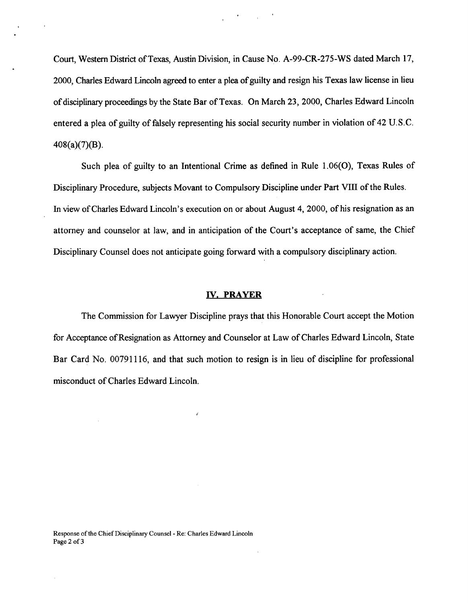Court, Western District of Texas, Austin Division, in Cause No. A-99-CR-275-WS dated March 17, 2000, Charles Edward Lincoln agreed to enter a plea of guilty and resign his Texas law license in lieu of disciplinary proceedings by the State Bar of Texas. On March 23, 2000, Charles Edward Lincoln entered a plea of guilty of falsely representing his social security number in violation of 42 U.S.C. 408(a)(7)(B).

Such plea of guilty to an Intentional Crime as defined in Rule 1.06(0), Texas Rules of Disciplinary Procedure, subjects Movant to Compulsory Discipline under Part VIII of the Rules. In view of Charles Edward Lincoln's execution on or about August 4, 2000, of his resignation as an attorney and counselor at law, and in anticipation of the Court's acceptance of same, the Chief Disciplinary Counsel does not anticipate going forward with a compulsory disciplinary action.

#### IV. PRAYER

The Commission for Lawyer Discipline prays that this Honorable Court accept the Motion for Acceptance of Resignation as Attorney and Counselor at Law of Charles Edward Lincoln, State Bar Card No. 00791116, and that such motion to resign is in lieu of discipline for professional misconduct of Charles Edward Lincoln.

j.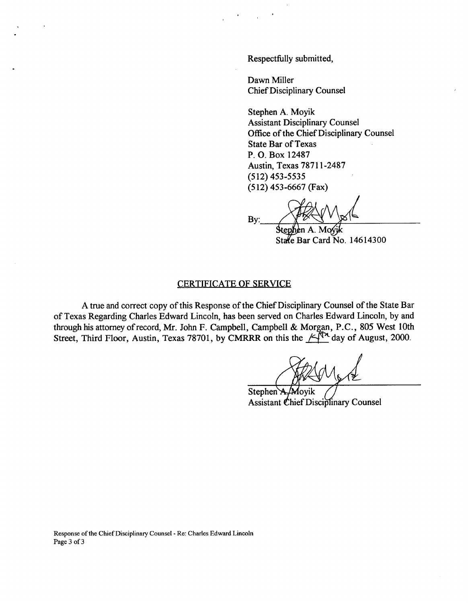Respectfully submitted,

Dawn Miller Chief Disciplinary Counsel

Stephen A. Moyik Assistant Disciplinary Counsel Office of the Chief Disciplinary Counsel State Bar of Texas P. O. Box 12487 Austin, Texas 78711-2487 (512) 453-5535 (512) 453-6667 (Fax)

By:

State Bar Card No. 14614300

#### CERTIFICATE OF SERVICE

**A true and correct copy of this Response of the Chief Disciplinary Counsel of the State Bar of Texas Regarding Charles Edward Lincoln, has been served on Charles Edward Lincoln, by and through his attorney of record, Mr. John F. Campbell, Campbell & M** or**g**an **, P.C., 805 West 10th** Street, Third Floor, Austin, Texas 78701, by CMRRR on this the  $A^N$  day of August, 2000.

Stephen A./Moyik Assistant Chief Disciplinary Counsel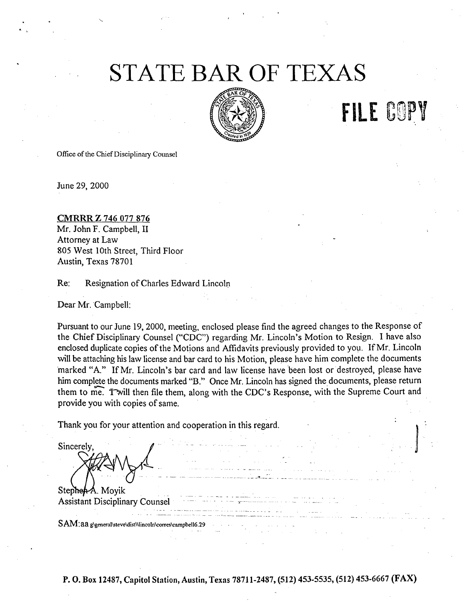## S**T**ATE **B**A**R O**F TEXAS



**FILE** COPY

Office of the Chief Disciplinary Counsel

June 29, 2000

## CMRRR Z 746 077 876 Mr. John F. Campbell, II Attorney at Law 805 West 10th Street, Third Floor Austin, Texas 78701

**Re: Resignation** of Charles Edward Lincoln

Dear Mr. Campbell:

**Pursuant to our June 19, 2000, meeting, enclosed please find the agreed changes to the Response of the Chief Disciplinary Counsel** ("CDC") **regarding Mr. Lincoln's Motion to Resign. I have also enclosed duplicate copies of the Motions and Affidavits previously provided to you. If Mr. Lincoln will be attaching his law license and bar card to his Motion, please have him complete the documents** marked "A." If Mr. Lincoln's bar card and law license have been lost or destroyed, please have **him complete the documents marked "B." Once Mr. Lincoln has signed the documents, please return** them to me. Twill then file them, along with the CDC's Response, with the Supreme Court and **provide you with copies of same.**

Thank you for your attention and cooperation in this regard.

Sincerely,

Stephen-A. Movik Assistant Disciplinary Counsel

**SAM: aa g\general\steve\dist\\lincoln\corres\campbe116.29**

**P. O. Box** 12487, Capitol **Station,** Austin, Texas 78711-2487, (512) 453-5535, (512) 453-6667 (FAX)